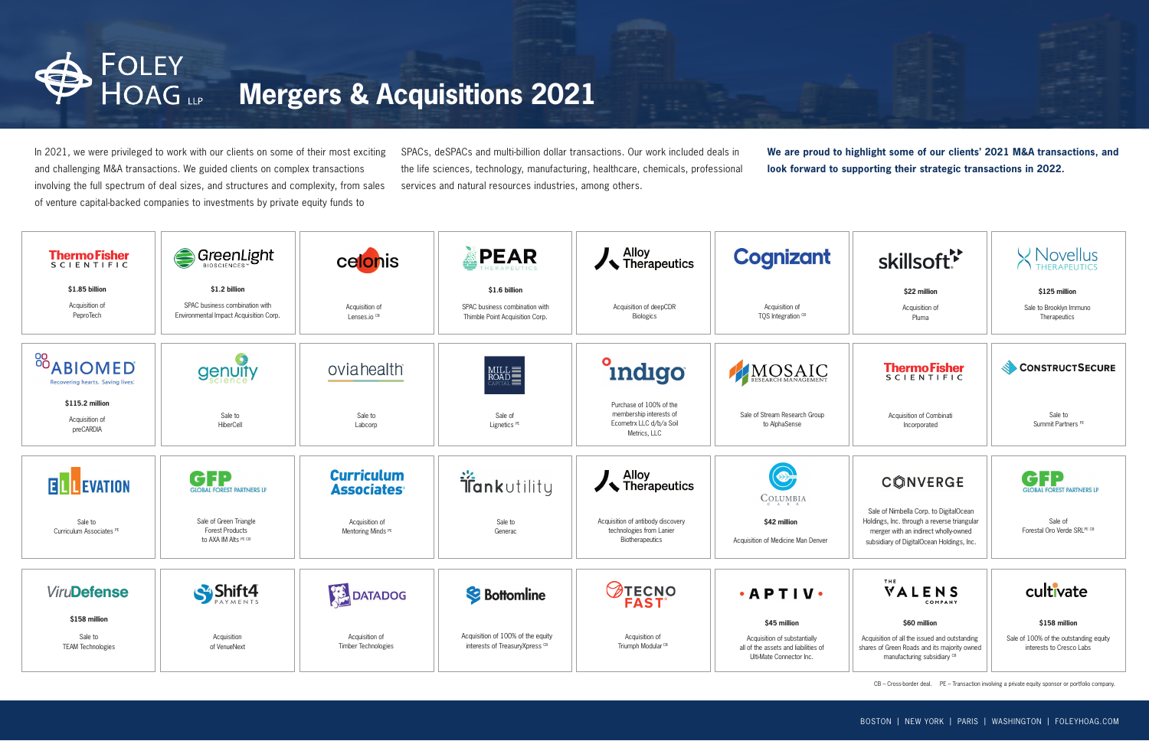CB – Cross-border deal. PE – Transaction involving a private equity sponsor or portfolio company.

In 2021, we were privileged to work with our clients on some of their most exciting and challenging M&A transactions. We guided clients on complex transactions involving the full spectrum of deal sizes, and structures and complexity, from sales of venture capital-backed companies to investments by private equity funds to

SPACs, deSPACs and multi-billion dollar transactions. Our work included deals in the life sciences, technology, manufacturing, healthcare, chemicals, professional services and natural resources industries, among others.

**We are proud to highlight some of our clients' 2021 M&A transactions, and look forward to supporting their strategic transactions in 2022.** 



# **Mergers & Acquisitions 2021**

| <b>ThermoFisher</b><br><b>SCIENTIFIC</b>                  | GreenLight                                                                                | celonis                                            | PEAR                                                                               | $\frac{1}{\sqrt{2}}$ Therapeutics                                                             | Co                         |
|-----------------------------------------------------------|-------------------------------------------------------------------------------------------|----------------------------------------------------|------------------------------------------------------------------------------------|-----------------------------------------------------------------------------------------------|----------------------------|
| \$1.85 billion<br>Acquisition of<br>PeproTech             | \$1.2 billion<br>SPAC business combination with<br>Environmental Impact Acquisition Corp. | Acquisition of<br>Lenses.io <sup>CB</sup>          | \$1.6 billion<br>SPAC business combination with<br>Thimble Point Acquisition Corp. | Acquisition of deepCDR<br><b>Biologics</b>                                                    |                            |
| <sup>88</sup> ABIOMED<br>Recovering hearts. Saving lives: | <b>genuity</b>                                                                            | oviahealth                                         |                                                                                    | indigo                                                                                        | HA                         |
| \$115.2 million<br>Acquisition of<br>preCARDIA            | Sale to<br>HiberCell                                                                      | Sale to<br>Labcorp                                 | Sale of<br>Lignetics <sup>PE</sup>                                                 | Purchase of 100% of the<br>membership interests of<br>Ecometrx LLC d/b/a Soil<br>Metrics, LLC | Sale of                    |
| <b>ELLEVATION</b>                                         | di<br><b>GLOBAL FOREST PARTNERS LP</b>                                                    | <b>Curriculum</b><br><b>Associates<sup>®</sup></b> | <b>is</b> <i>i f d nkutility</i>                                                   | $\frac{1}{\sqrt{2}}$ Therapeutics                                                             |                            |
| Sale to<br>Curriculum Associates PE                       | Sale of Green Triangle<br><b>Forest Products</b><br>to AXA IM Alts PE CB                  | Acquisition of<br>Mentoring Minds <sup>PE</sup>    | Sale to<br>Generac                                                                 | Acquisition of antibody discovery<br>technologies from Lanier<br>Biotherapeutics              | Acquisitio                 |
| <b>ViruDefense</b>                                        |                                                                                           | <b>DATADOG</b>                                     | <b>S</b> Bottomline                                                                | <b>TECNO</b><br>FAST®                                                                         | $\bullet$ A                |
| \$158 million<br>Sale to<br><b>TEAM Technologies</b>      | Acquisition<br>of VenueNext                                                               | Acquisition of<br>Timber Technologies              | Acquisition of 100% of the equity<br>interests of Treasury Xpress CB               | Acquisition of<br>Triumph Modular <sup>CB</sup>                                               | Acqu<br>all of th<br>Ulti- |